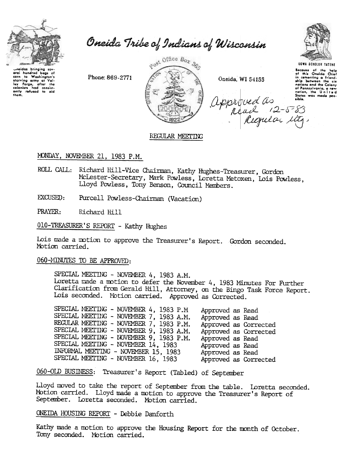

Oneida Tribe of Indians of Wisconsin

neidas bringing sev oral nundred bags of<br>corn to Washington's<br>starving azmy at Val-<br>ley forge, after the<br>colonists had consist-<br>only refused to aid<br>them. oral hundred baas of

Phone: 869-2771



Oneida, WI 54155



Because of the help<br>of this Oneida Chief<br>of this Oneida Chief<br>ship between the six<br>nations and the Coleny<br>of Pennsylvanic, a new<br>nation, the United<br>Ship was made pos-<br>Ship was made posapproved as "

## REGULAR MEETING

# MONDAY, NOVEMBER 21, 1983 P.M.

- ROLL CALL: Richard Hill-Vice Chairman, Kathy Hughes-Treasurer, Gordon McLester-Secretary, Mark Powless, Loretta Metoxen, Lois Powless, Lloyd Powless, Tony Benson, Council Members.
- EXCUSED: Purcell Powless-Chairman (Vacation)

PRAYER: Richard Hill

010-TREASURER'S REPORT - Kathy Hughes

Lois made a motion to approve the Treasurer's Report. Gordon seconded. Motion carried.

060-MINUTES TO BE APPROVED:

SPECIAL MEETING - NOVEMBER 4, 1983 A.M. Loretta made a motion to defer the November 4, 1983 Minutes For Further Clarification from Gerald Hill, Attorney, on the Bingo Task Force Report. Lois seconded. Motion carried. Approved as Corrected.

SPECIAL MEETING - NOVEMBER 4, 1983 P.M Approved as Read SPECIAL MEETING - NOVEMBER 7, 1983 A.M. Approved as Read REGULAR MEETING - NOVEMBER 7, 1983 P.M. Approved as Corrected SPECIAL MEETING - NOVEMBER 9, 1983 A.M. Approved as Corrected SPECIAL MEETING - NOVEMBER 9, 1983 P.M. Approved as Read SPECIAL MEETING - NOVEMBER 14, 1983 Approved as Read INFORMAL MEETING - NOVEMBER 15, 1983 Approved as Read SPECIAL MEETING - NOVEMBER 16, 1983 Approved as Corrected

060-OLD BUSINESS: Treasurer's Report (Tabled) of September

Lloyd moved to take the report of September from the table. Loretta seconded. Motion carried. Lloyd made a motion to approve the Treasurer's Report of September. Loretta seconded. Motion carried.

ONEIDA HOUSING REPORT - Debbie Danforth

Kathy made a motion to approve the Housing Report for the month of October. Tony seconded. Motion carried.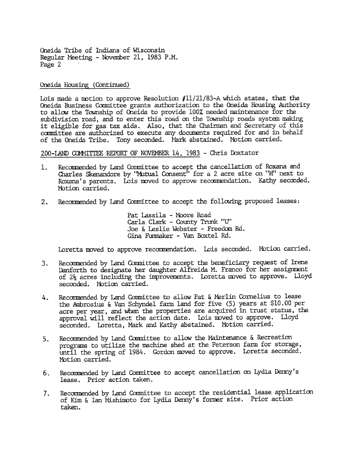Oneida Tribe of Indians of Wisconsin Regular Meeting - November 21, 1983 P.M. Page 2

### Oneida Housing (Continued)

Lois made a motion to approve Resolution  $#11/21/83-A$  which states, that the Oneida Business Committee grants authorization to the Oneida Housing Authority to allow the Township of Oneida to provide 100% needed maintenance for the subdivision road, and to enter this road on the Township roads system making it eligible for gas tax aids. Also, that the Chairman and Secretary of this committee are authorized to execute any documents required for and in behalf of the Oneida Tribe. Tony seconded. Mark abstained. Motion carried.

200-LAND COMMITTEE REPORT OF NOVEMBER 14, 1983 - Chris Doxtator

- 1. Recommended by Land Committee to accept the cancellation of Roxana and Charles Skenandore by "Mutual Consent" for a 2 acre site on "H" next to Roxana's parents. Lois moved to approve recommendation. Kathy seconded. Motion carried.
- 2. Recommended by Land Committee to accept the following proposed leases:

Pat Lassila - Moore Road Carla Clark - County Trunk "U" Joe & Leslie Webster - Freedom Rd. Gina Furmaker - Van Boxtel Rd.

Loretta moved to approve recommendation. Lois seconded. Motion carried.

- Recommended by Land Conmittee to accept the beneficiary request of Irene Danforth to designate her daughter Alfreida M. Franco for her assignment of  $2\frac{1}{2}$  acres including the improvements. Loretta moved to approve. Lloyd seconded. Motion carried. 3.
- Recommended by Land Committee to allow Pat & Merlin Cornelius to lease the Ambrosius & Van Schyndel farm land for five (5) years at \$10.00 per acre per year, and when the properties are acquired in trust status, the approval will reflect the action date. Lois moved to approve. Lloyd seconded. Loretta, Mark and Kathy abstained. Motion carried. 4.
- Recommended by Land Committee to allow the Maintenance & Recreation programs to utilize the machine shed at the Peterson farm for storage, until the spring of 1984. Gordon moved to approve. Loretta seconded. Motion carried. 5.
- Recommended by Land Conmittee to accept cancellation on Lydia Denny's lease. Prior action taken. 6.
- Recommended by Land Committee to accept the residential lease application of Kim & Ian Mishimoto for Lydia Denny's former site. Prior action taken. 7.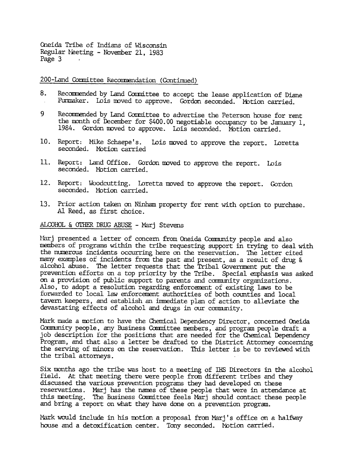Oneida Tribe of Indians of Wisconsin Regular Neeting - November 21, 1983 Page 3

200-Land Committee Recommendation (Continued)

- 8. Recommended by Land Committee to accept the lease application of Diane Furmaker. Lois moved to approve. Gordon seconded. Motion carried.
- 9 Recommended by Land Committee to advertise the Peterson house for rent the mnth of December for \$400.00 negotiable occupancy to be January 1, 1984. Gordon moved to approve. Lois seconded. Motion carried.
- 10. Report: Mike Schaepe's. seconded. Motion carrie Lois moved to approve the report. Loretta
- seconded. Motion carrie Office. Gordon moved to approve the report. Lois
- 12. Report: Woodcutting. Loretta moved to approve the report. Gordon seconded. Motion carried
- 13. Prior action taken on Ninham property for rent with option to purchase. Al Reed, as first dhoice.

ALCOHOL & OTHER DRUG ABUSE - Marj Stevens

Mari presented a letter of concern from Oneida Community people and also members of programs within the tribe requesting support in trying to deal with the numerous incidents occurring here on the reservation. The letter cited many examples of incidents from the past and present, as a result of drug & alcohol abuse. The letter requests that the Tribal Government put the prevention efforts on a top priority by the Tribe. Special emphasis was asked on a provision of public support to parents and community organizations. Also, to adopt a resolution regarding enforcement of existing laws to be forwarded to local law enforcement authorities of both counties and local tavern keepers, and establish an imnediate plan of action to alleviate the devastating effects of alcohol and drugs in our community.

Mark made a motion to have the Chemical Dependency Director, concerned Oneida Ccmmmity people, any Business Ccmnittee members, and program people draft a job description for the positions that are needed for the Chemical Dependenc Program, and that also a letter be drafted to the District Attorney concerning the serving of minors on the reservation. This letter is be to reviewed with the tribal attorneys.

Six months ago the tribe was host to a meeting of IHS Directors in the alcohol field. At that meeting there were people from different tribes and they discussed the various prevention programs they had developed on these reservations. Marj has the nanes of these people that were in attendance at this meeting. The Business Committee feels Marj should contact these people and bring a report on what they have done on a prevention program.

Mark would include in his motion a proposal from Marj's office on a halfway house and a detoxification center. Tony seconded. Notion carried.